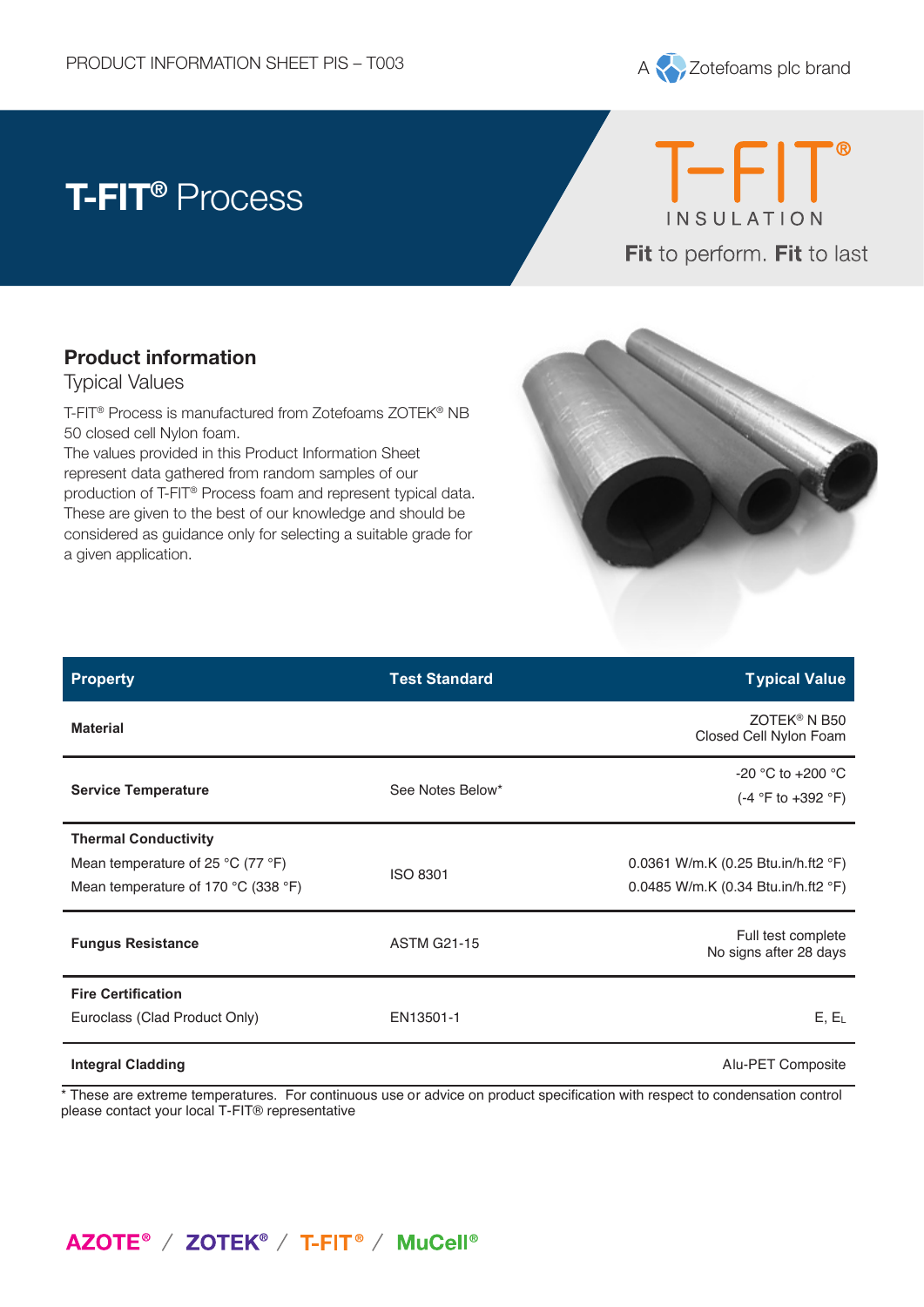

# **T-FIT®** Process



### **Product information**

**Product information** Typical Values

Typical Values T-FIT® Process is manufactured from Zotefoams ZOTEK® NB 50 closed cell Nylon foam.

The values provided in this Product Information Sheet represent data gathered from random samples of our production of T-FIT® Process foam and represent typical data. These are given to the best of our knowledge and should be considered as guidance only for selecting a suitable grade for a given application.



| <b>Property</b>                                                                                                             | <b>Test Standard</b> | <b>Typical Value</b>                                                       |
|-----------------------------------------------------------------------------------------------------------------------------|----------------------|----------------------------------------------------------------------------|
| <b>Material</b>                                                                                                             |                      | ZOTEK <sup>®</sup> N B50<br>Closed Cell Nylon Foam                         |
| <b>Service Temperature</b>                                                                                                  | See Notes Below*     | -20 °C to +200 °C<br>$(-4 °F)$ to $+392 °F)$                               |
| <b>Thermal Conductivity</b><br>Mean temperature of 25 $^{\circ}$ C (77 $^{\circ}$ F)<br>Mean temperature of 170 °C (338 °F) | <b>ISO 8301</b>      | 0.0361 W/m.K (0.25 Btu.in/h.ft2 °F)<br>0.0485 W/m.K (0.34 Btu.in/h.ft2 °F) |
| <b>Fungus Resistance</b>                                                                                                    | <b>ASTM G21-15</b>   | Full test complete<br>No signs after 28 days                               |
| <b>Fire Certification</b><br>Euroclass (Clad Product Only)                                                                  | EN13501-1            | $E, E_L$                                                                   |
| <b>Integral Cladding</b>                                                                                                    |                      | Alu-PET Composite                                                          |

\* These are extreme temperatures. For continuous use or advice on product specification with respect to condensation control please contact your local T-FIT® representative

## AZOTE<sup>®</sup> / ZOTEK<sup>®</sup> / T-FIT<sup>®</sup> / MuCell<sup>®</sup>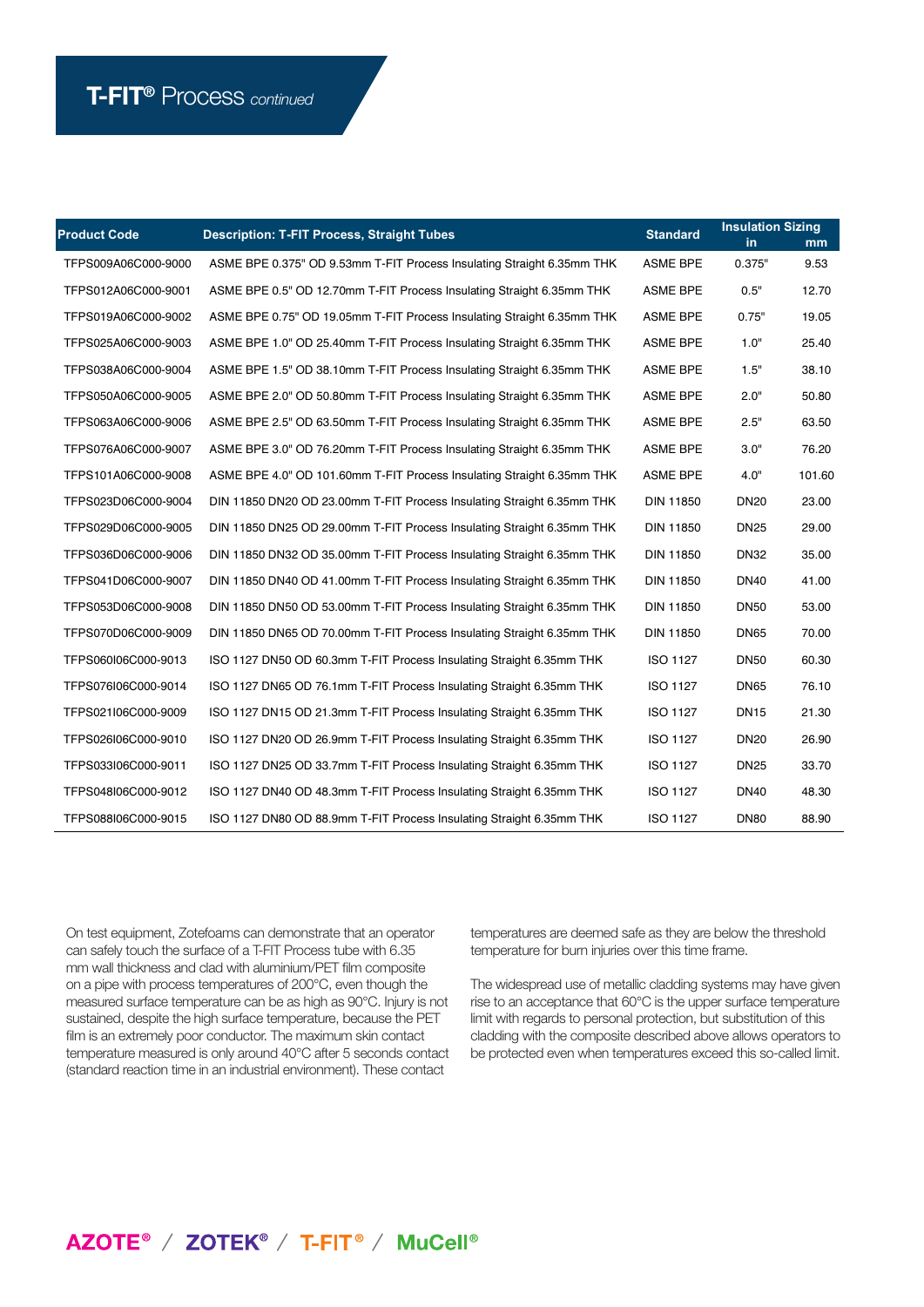| <b>Product Code</b> | <b>Description: T-FIT Process, Straight Tubes</b>                      |                  | <b>Insulation Sizing</b> |        |
|---------------------|------------------------------------------------------------------------|------------------|--------------------------|--------|
|                     |                                                                        | <b>ASME BPE</b>  | in.<br>0.375"            | mm     |
| TFPS009A06C000-9000 | ASME BPE 0.375" OD 9.53mm T-FIT Process Insulating Straight 6.35mm THK |                  |                          | 9.53   |
| TFPS012A06C000-9001 | ASME BPE 0.5" OD 12.70mm T-FIT Process Insulating Straight 6.35mm THK  | <b>ASME BPE</b>  | 0.5"                     | 12.70  |
| TFPS019A06C000-9002 | ASME BPE 0.75" OD 19.05mm T-FIT Process Insulating Straight 6.35mm THK | <b>ASME BPE</b>  | 0.75"                    | 19.05  |
| TFPS025A06C000-9003 | ASME BPE 1.0" OD 25.40mm T-FIT Process Insulating Straight 6.35mm THK  | <b>ASME BPE</b>  | 1.0"                     | 25.40  |
| TFPS038A06C000-9004 | ASME BPE 1.5" OD 38.10mm T-FIT Process Insulating Straight 6.35mm THK  | <b>ASME BPE</b>  | 1.5"                     | 38.10  |
| TFPS050A06C000-9005 | ASME BPE 2.0" OD 50.80mm T-FIT Process Insulating Straight 6.35mm THK  | <b>ASME BPE</b>  | 2.0"                     | 50.80  |
| TFPS063A06C000-9006 | ASME BPE 2.5" OD 63.50mm T-FIT Process Insulating Straight 6.35mm THK  | <b>ASME BPE</b>  | 2.5"                     | 63.50  |
| TFPS076A06C000-9007 | ASME BPE 3.0" OD 76.20mm T-FIT Process Insulating Straight 6.35mm THK  | <b>ASME BPE</b>  | 3.0"                     | 76.20  |
| TFPS101A06C000-9008 | ASME BPE 4.0" OD 101.60mm T-FIT Process Insulating Straight 6.35mm THK | <b>ASME BPE</b>  | 4.0"                     | 101.60 |
| TFPS023D06C000-9004 | DIN 11850 DN20 OD 23.00mm T-FIT Process Insulating Straight 6.35mm THK | <b>DIN 11850</b> | <b>DN20</b>              | 23.00  |
| TFPS029D06C000-9005 | DIN 11850 DN25 OD 29.00mm T-FIT Process Insulating Straight 6.35mm THK | <b>DIN 11850</b> | <b>DN25</b>              | 29.00  |
| TFPS036D06C000-9006 | DIN 11850 DN32 OD 35.00mm T-FIT Process Insulating Straight 6.35mm THK | <b>DIN 11850</b> | <b>DN32</b>              | 35.00  |
| TFPS041D06C000-9007 | DIN 11850 DN40 OD 41.00mm T-FIT Process Insulating Straight 6.35mm THK | <b>DIN 11850</b> | <b>DN40</b>              | 41.00  |
| TFPS053D06C000-9008 | DIN 11850 DN50 OD 53.00mm T-FIT Process Insulating Straight 6.35mm THK | <b>DIN 11850</b> | <b>DN50</b>              | 53.00  |
| TFPS070D06C000-9009 | DIN 11850 DN65 OD 70.00mm T-FIT Process Insulating Straight 6.35mm THK | <b>DIN 11850</b> | <b>DN65</b>              | 70.00  |
| TFPS060I06C000-9013 | ISO 1127 DN50 OD 60.3mm T-FIT Process Insulating Straight 6.35mm THK   | <b>ISO 1127</b>  | <b>DN50</b>              | 60.30  |
| TFPS076l06C000-9014 | ISO 1127 DN65 OD 76.1mm T-FIT Process Insulating Straight 6.35mm THK   | <b>ISO 1127</b>  | <b>DN65</b>              | 76.10  |
| TFPS021I06C000-9009 | ISO 1127 DN15 OD 21.3mm T-FIT Process Insulating Straight 6.35mm THK   | <b>ISO 1127</b>  | <b>DN15</b>              | 21.30  |
| TFPS026l06C000-9010 | ISO 1127 DN20 OD 26.9mm T-FIT Process Insulating Straight 6.35mm THK   | <b>ISO 1127</b>  | <b>DN20</b>              | 26.90  |
| TFPS033I06C000-9011 | ISO 1127 DN25 OD 33.7mm T-FIT Process Insulating Straight 6.35mm THK   | <b>ISO 1127</b>  | <b>DN25</b>              | 33.70  |
| TFPS048I06C000-9012 | ISO 1127 DN40 OD 48.3mm T-FIT Process Insulating Straight 6.35mm THK   | ISO 1127         | <b>DN40</b>              | 48.30  |
| TFPS088I06C000-9015 | ISO 1127 DN80 OD 88.9mm T-FIT Process Insulating Straight 6.35mm THK   | <b>ISO 1127</b>  | <b>DN80</b>              | 88.90  |

On test equipment, Zotefoams can demonstrate that an operator can safely touch the surface of a T-FIT Process tube with 6.35 mm wall thickness and clad with aluminium/PET film composite on a pipe with process temperatures of 200°C, even though the measured surface temperature can be as high as 90°C. Injury is not sustained, despite the high surface temperature, because the PET film is an extremely poor conductor. The maximum skin contact temperature measured is only around 40°C after 5 seconds contact (standard reaction time in an industrial environment). These contact

temperatures are deemed safe as they are below the threshold temperature for burn injuries over this time frame.

The widespread use of metallic cladding systems may have given rise to an acceptance that 60°C is the upper surface temperature limit with regards to personal protection, but substitution of this cladding with the composite described above allows operators to be protected even when temperatures exceed this so-called limit.

### AZOTE<sup>®</sup> / ZOTEK<sup>®</sup> / T-FIT<sup>®</sup> / MuCell<sup>®</sup>